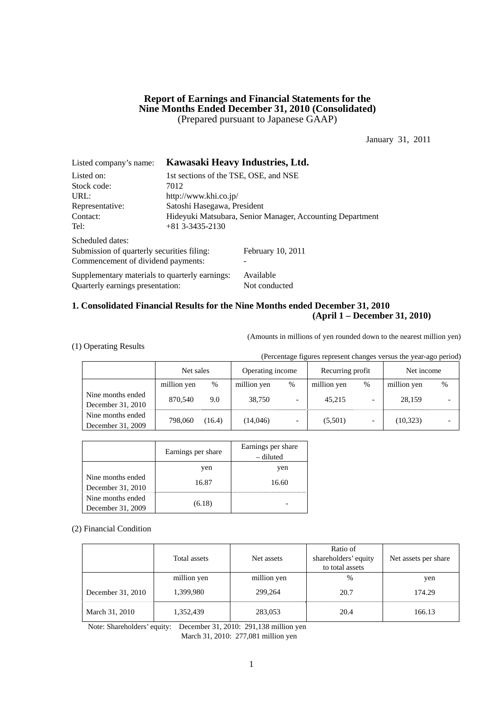# **Report of Earnings and Financial Statements for the Nine Months Ended December 31, 2010 (Consolidated)**  (Prepared pursuant to Japanese GAAP)

January 31, 2011

| Listed company's name:                         | Kawasaki Heavy Industries, Ltd.                           |                   |  |  |  |
|------------------------------------------------|-----------------------------------------------------------|-------------------|--|--|--|
| Listed on:                                     | 1st sections of the TSE, OSE, and NSE                     |                   |  |  |  |
| Stock code:                                    | 7012                                                      |                   |  |  |  |
| URL:                                           | http://www.khi.co.jp/                                     |                   |  |  |  |
| Representative:                                | Satoshi Hasegawa, President                               |                   |  |  |  |
| Contact:                                       | Hideyuki Matsubara, Senior Manager, Accounting Department |                   |  |  |  |
| Tel:                                           | $+81$ 3-3435-2130                                         |                   |  |  |  |
| Scheduled dates:                               |                                                           |                   |  |  |  |
| Submission of quarterly securities filing:     |                                                           | February 10, 2011 |  |  |  |
| Commencement of dividend payments:             |                                                           |                   |  |  |  |
| Supplementary materials to quarterly earnings: |                                                           | Available         |  |  |  |
| Quarterly earnings presentation:               |                                                           | Not conducted     |  |  |  |

# **1. Consolidated Financial Results for the Nine Months ended December 31, 2010 (April 1 – December 31, 2010)**

(Amounts in millions of yen rounded down to the nearest million yen)

(1) Operating Results

(Percentage figures represent changes versus the year-ago period)

|                                        | Net sales   |        | Operating income |                          | Recurring profit |   | Net income  |   |
|----------------------------------------|-------------|--------|------------------|--------------------------|------------------|---|-------------|---|
|                                        | million yen | %      | million yen      | $\%$                     | million yen      | % | million yen | % |
| Nine months ended<br>December 31, 2010 | 870,540     | 9.0    | 38.750           | $\overline{\phantom{0}}$ | 45.215           |   | 28.159      |   |
| Nine months ended<br>December 31, 2009 | 798,060     | (16.4) | (14,046)         | $\overline{\phantom{a}}$ | (5,501)          |   | (10, 323)   |   |

|                                        | Earnings per share | Earnings per share<br>– diluted |
|----------------------------------------|--------------------|---------------------------------|
|                                        | yen                | yen                             |
| Nine months ended<br>December 31, 2010 | 16.87              | 16.60                           |
| Nine months ended<br>December 31, 2009 | (6.18)             |                                 |

(2) Financial Condition

|                   | Total assets | Net assets  | Ratio of<br>shareholders' equity<br>to total assets | Net assets per share |
|-------------------|--------------|-------------|-----------------------------------------------------|----------------------|
|                   | million yen  | million yen | $\%$                                                | yen                  |
| December 31, 2010 | 1,399,980    | 299,264     | 20.7                                                | 174.29               |
| March 31, 2010    | 1,352,439    | 283,053     | 20.4                                                | 166.13               |

Note: Shareholders' equity: December 31, 2010: 291,138 million yen March 31, 2010: 277,081 million yen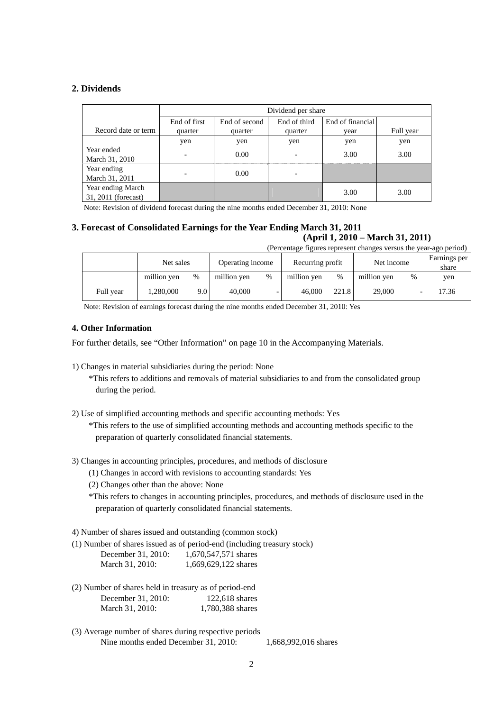# **2. Dividends**

|                                          | Dividend per share       |               |                          |      |           |  |
|------------------------------------------|--------------------------|---------------|--------------------------|------|-----------|--|
|                                          | End of first             | End of second | End of financial         |      |           |  |
| Record date or term                      | quarter                  | quarter       | quarter                  | vear | Full year |  |
|                                          | yen                      | yen           | yen                      | yen  | yen       |  |
| Year ended<br>March 31, 2010             | $\overline{\phantom{a}}$ | 0.00          | $\overline{\phantom{0}}$ | 3.00 | 3.00      |  |
| Year ending<br>March 31, 2011            |                          | 0.00          |                          |      |           |  |
| Year ending March<br>31, 2011 (forecast) |                          |               |                          | 3.00 | 3.00      |  |

Note: Revision of dividend forecast during the nine months ended December 31, 2010: None

# **3. Forecast of Consolidated Earnings for the Year Ending March 31, 2011**

**(April 1, 2010 – March 31, 2011)**  (Percentage figures represent changes versus the year-ago period)

|           | Net sales   |                  | Operating income<br>Recurring profit |   |             |       | Net income  |      | Earnings per<br>share |
|-----------|-------------|------------------|--------------------------------------|---|-------------|-------|-------------|------|-----------------------|
|           | million ven | %                | million yen                          | % | million yen | $\%$  | million yen | $\%$ | yen                   |
| Full year | 1,280,000   | 9.0 <sub>1</sub> | 40.000                               |   | 46,000      | 221.8 | 29,000      |      | 17.36                 |

Note: Revision of earnings forecast during the nine months ended December 31, 2010: Yes

# **4. Other Information**

For further details, see "Other Information" on page 10 in the Accompanying Materials.

1) Changes in material subsidiaries during the period: None

\*This refers to additions and removals of material subsidiaries to and from the consolidated group during the period.

2) Use of simplified accounting methods and specific accounting methods: Yes

\*This refers to the use of simplified accounting methods and accounting methods specific to the preparation of quarterly consolidated financial statements.

- 3) Changes in accounting principles, procedures, and methods of disclosure
	- (1) Changes in accord with revisions to accounting standards: Yes
	- (2) Changes other than the above: None

\*This refers to changes in accounting principles, procedures, and methods of disclosure used in the preparation of quarterly consolidated financial statements.

4) Number of shares issued and outstanding (common stock)

(1) Number of shares issued as of period-end (including treasury stock)

| December 31, 2010: | 1,670,547,571 shares |
|--------------------|----------------------|
| March 31, 2010:    | 1,669,629,122 shares |

- (2) Number of shares held in treasury as of period-end December 31, 2010: 122,618 shares March 31, 2010: 1.780,388 shares
- (3) Average number of shares during respective periods Nine months ended December 31, 2010: 1,668,992,016 shares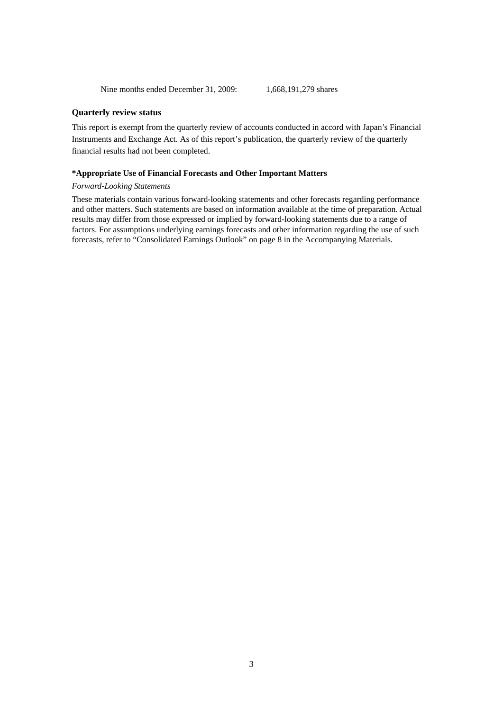Nine months ended December 31, 2009: 1.668, 191, 279 shares

### **Quarterly review status**

This report is exempt from the quarterly review of accounts conducted in accord with Japan's Financial Instruments and Exchange Act. As of this report's publication, the quarterly review of the quarterly financial results had not been completed.

### **\*Appropriate Use of Financial Forecasts and Other Important Matters**

### *Forward-Looking Statements*

These materials contain various forward-looking statements and other forecasts regarding performance and other matters. Such statements are based on information available at the time of preparation. Actual results may differ from those expressed or implied by forward-looking statements due to a range of factors. For assumptions underlying earnings forecasts and other information regarding the use of such forecasts, refer to "Consolidated Earnings Outlook" on page 8 in the Accompanying Materials.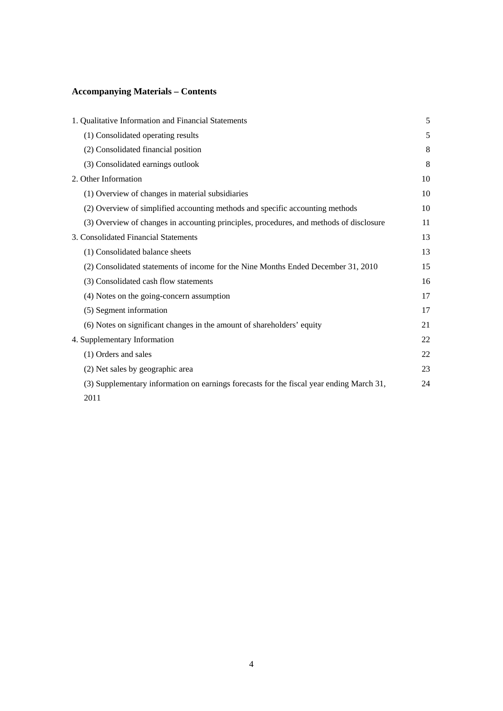# **Accompanying Materials – Contents**

| 1. Qualitative Information and Financial Statements                                      | 5  |
|------------------------------------------------------------------------------------------|----|
| (1) Consolidated operating results                                                       | 5  |
| (2) Consolidated financial position                                                      | 8  |
| (3) Consolidated earnings outlook                                                        | 8  |
| 2. Other Information                                                                     | 10 |
| (1) Overview of changes in material subsidiaries                                         | 10 |
| (2) Overview of simplified accounting methods and specific accounting methods            | 10 |
| (3) Overview of changes in accounting principles, procedures, and methods of disclosure  | 11 |
| 3. Consolidated Financial Statements                                                     | 13 |
| (1) Consolidated balance sheets                                                          | 13 |
| (2) Consolidated statements of income for the Nine Months Ended December 31, 2010        | 15 |
| (3) Consolidated cash flow statements                                                    | 16 |
| (4) Notes on the going-concern assumption                                                | 17 |
| (5) Segment information                                                                  | 17 |
| (6) Notes on significant changes in the amount of shareholders' equity                   | 21 |
| 4. Supplementary Information                                                             | 22 |
| (1) Orders and sales                                                                     | 22 |
| (2) Net sales by geographic area                                                         | 23 |
| (3) Supplementary information on earnings forecasts for the fiscal year ending March 31, | 24 |
| 2011                                                                                     |    |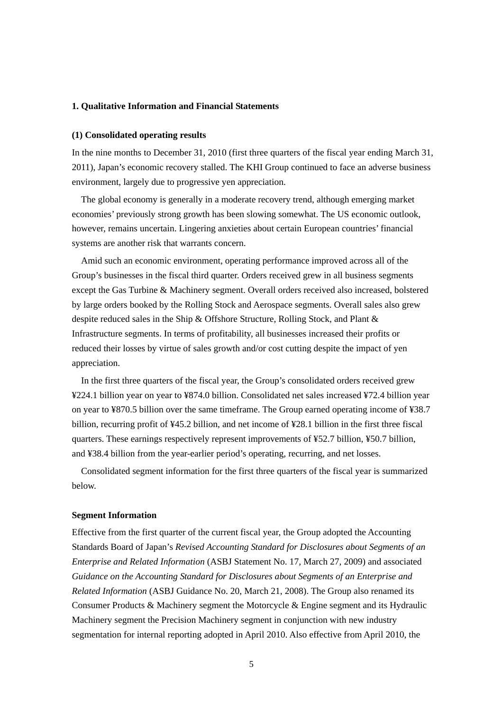# **1. Qualitative Information and Financial Statements**

### **(1) Consolidated operating results**

In the nine months to December 31, 2010 (first three quarters of the fiscal year ending March 31, 2011), Japan's economic recovery stalled. The KHI Group continued to face an adverse business environment, largely due to progressive yen appreciation.

The global economy is generally in a moderate recovery trend, although emerging market economies' previously strong growth has been slowing somewhat. The US economic outlook, however, remains uncertain. Lingering anxieties about certain European countries' financial systems are another risk that warrants concern.

Amid such an economic environment, operating performance improved across all of the Group's businesses in the fiscal third quarter. Orders received grew in all business segments except the Gas Turbine & Machinery segment. Overall orders received also increased, bolstered by large orders booked by the Rolling Stock and Aerospace segments. Overall sales also grew despite reduced sales in the Ship & Offshore Structure, Rolling Stock, and Plant & Infrastructure segments. In terms of profitability, all businesses increased their profits or reduced their losses by virtue of sales growth and/or cost cutting despite the impact of yen appreciation.

In the first three quarters of the fiscal year, the Group's consolidated orders received grew ¥224.1 billion year on year to ¥874.0 billion. Consolidated net sales increased ¥72.4 billion year on year to ¥870.5 billion over the same timeframe. The Group earned operating income of ¥38.7 billion, recurring profit of ¥45.2 billion, and net income of ¥28.1 billion in the first three fiscal quarters. These earnings respectively represent improvements of ¥52.7 billion, ¥50.7 billion, and ¥38.4 billion from the year-earlier period's operating, recurring, and net losses.

Consolidated segment information for the first three quarters of the fiscal year is summarized below.

#### **Segment Information**

Effective from the first quarter of the current fiscal year, the Group adopted the Accounting Standards Board of Japan's *Revised Accounting Standard for Disclosures about Segments of an Enterprise and Related Information* (ASBJ Statement No. 17, March 27, 2009) and associated *Guidance on the Accounting Standard for Disclosures about Segments of an Enterprise and Related Information* (ASBJ Guidance No. 20, March 21, 2008). The Group also renamed its Consumer Products & Machinery segment the Motorcycle & Engine segment and its Hydraulic Machinery segment the Precision Machinery segment in conjunction with new industry segmentation for internal reporting adopted in April 2010. Also effective from April 2010, the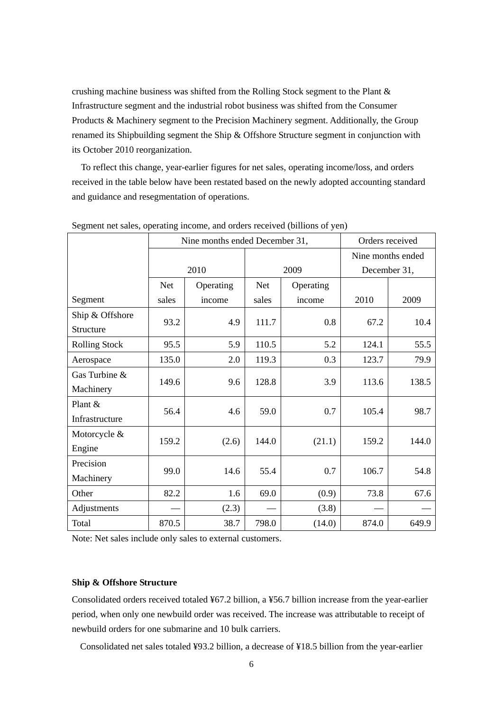crushing machine business was shifted from the Rolling Stock segment to the Plant & Infrastructure segment and the industrial robot business was shifted from the Consumer Products & Machinery segment to the Precision Machinery segment. Additionally, the Group renamed its Shipbuilding segment the Ship & Offshore Structure segment in conjunction with its October 2010 reorganization.

To reflect this change, year-earlier figures for net sales, operating income/loss, and orders received in the table below have been restated based on the newly adopted accounting standard and guidance and resegmentation of operations.

|                      |            | Nine months ended December 31, | Orders received   |           |       |              |  |
|----------------------|------------|--------------------------------|-------------------|-----------|-------|--------------|--|
|                      |            |                                | Nine months ended |           |       |              |  |
|                      |            | 2010                           |                   | 2009      |       | December 31, |  |
|                      | <b>Net</b> | Operating                      | <b>Net</b>        | Operating |       |              |  |
| Segment              | sales      | income                         | sales             | income    | 2010  | 2009         |  |
| Ship & Offshore      |            |                                |                   |           |       |              |  |
| Structure            | 93.2       | 4.9                            | 111.7             | 0.8       | 67.2  | 10.4         |  |
| <b>Rolling Stock</b> | 95.5       | 5.9                            | 110.5             | 5.2       | 124.1 | 55.5         |  |
| Aerospace            | 135.0      | 2.0                            | 119.3             | 0.3       | 123.7 | 79.9         |  |
| Gas Turbine &        |            |                                | 128.8             | 3.9       | 113.6 | 138.5        |  |
| Machinery            | 149.6      | 9.6                            |                   |           |       |              |  |
| Plant &              | 56.4       |                                | 59.0              | 0.7       |       | 98.7         |  |
| Infrastructure       |            | 4.6                            |                   |           | 105.4 |              |  |
| Motorcycle &         |            |                                |                   |           |       |              |  |
| Engine               | 159.2      | (2.6)                          | 144.0             | (21.1)    | 159.2 | 144.0        |  |
| Precision            | 99.0       | 14.6                           | 55.4              | 0.7       |       |              |  |
| Machinery            |            |                                |                   |           | 106.7 | 54.8         |  |
| Other                | 82.2       | 1.6                            | 69.0              | (0.9)     | 73.8  | 67.6         |  |
| Adjustments          |            | (2.3)                          |                   | (3.8)     |       |              |  |
| Total                | 870.5      | 38.7                           | 798.0             | (14.0)    | 874.0 | 649.9        |  |

### Segment net sales, operating income, and orders received (billions of yen)

Note: Net sales include only sales to external customers.

# **Ship & Offshore Structure**

Consolidated orders received totaled ¥67.2 billion, a ¥56.7 billion increase from the year-earlier period, when only one newbuild order was received. The increase was attributable to receipt of newbuild orders for one submarine and 10 bulk carriers.

Consolidated net sales totaled ¥93.2 billion, a decrease of ¥18.5 billion from the year-earlier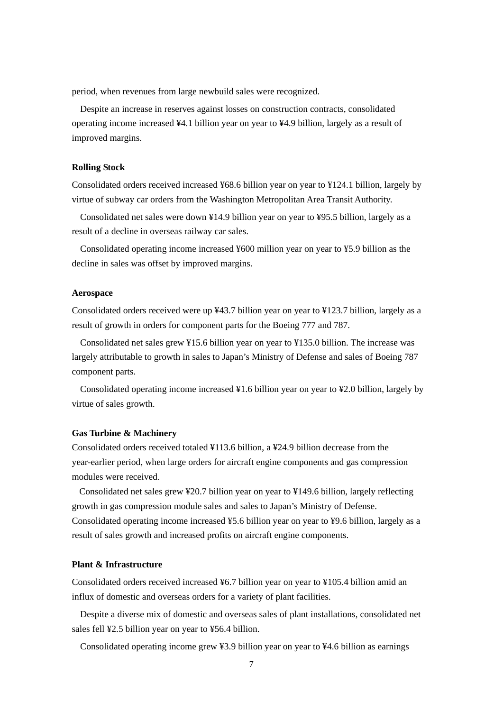period, when revenues from large newbuild sales were recognized.

Despite an increase in reserves against losses on construction contracts, consolidated operating income increased ¥4.1 billion year on year to ¥4.9 billion, largely as a result of improved margins.

### **Rolling Stock**

Consolidated orders received increased ¥68.6 billion year on year to ¥124.1 billion, largely by virtue of subway car orders from the Washington Metropolitan Area Transit Authority.

Consolidated net sales were down ¥14.9 billion year on year to ¥95.5 billion, largely as a result of a decline in overseas railway car sales.

Consolidated operating income increased ¥600 million year on year to ¥5.9 billion as the decline in sales was offset by improved margins.

### **Aerospace**

Consolidated orders received were up ¥43.7 billion year on year to ¥123.7 billion, largely as a result of growth in orders for component parts for the Boeing 777 and 787.

Consolidated net sales grew ¥15.6 billion year on year to ¥135.0 billion. The increase was largely attributable to growth in sales to Japan's Ministry of Defense and sales of Boeing 787 component parts.

Consolidated operating income increased ¥1.6 billion year on year to ¥2.0 billion, largely by virtue of sales growth.

### **Gas Turbine & Machinery**

Consolidated orders received totaled ¥113.6 billion, a ¥24.9 billion decrease from the year-earlier period, when large orders for aircraft engine components and gas compression modules were received.

Consolidated net sales grew ¥20.7 billion year on year to ¥149.6 billion, largely reflecting growth in gas compression module sales and sales to Japan's Ministry of Defense. Consolidated operating income increased ¥5.6 billion year on year to ¥9.6 billion, largely as a result of sales growth and increased profits on aircraft engine components.

# **Plant & Infrastructure**

Consolidated orders received increased ¥6.7 billion year on year to ¥105.4 billion amid an influx of domestic and overseas orders for a variety of plant facilities.

Despite a diverse mix of domestic and overseas sales of plant installations, consolidated net sales fell ¥2.5 billion year on year to ¥56.4 billion.

Consolidated operating income grew ¥3.9 billion year on year to ¥4.6 billion as earnings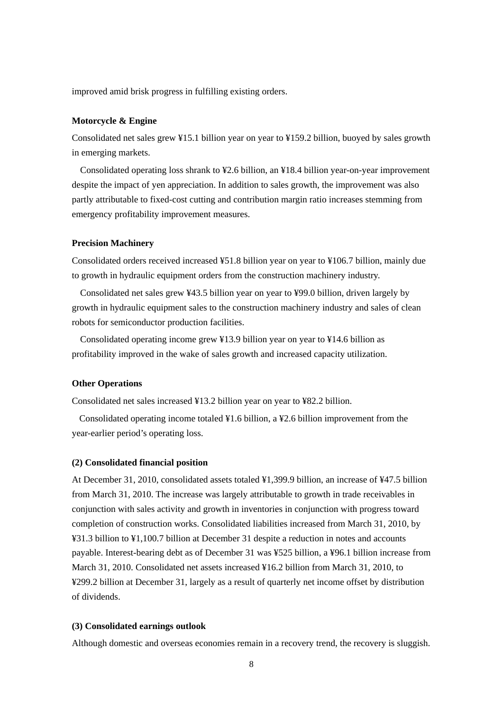improved amid brisk progress in fulfilling existing orders.

#### **Motorcycle & Engine**

Consolidated net sales grew ¥15.1 billion year on year to ¥159.2 billion, buoyed by sales growth in emerging markets.

Consolidated operating loss shrank to ¥2.6 billion, an ¥18.4 billion year-on-year improvement despite the impact of yen appreciation. In addition to sales growth, the improvement was also partly attributable to fixed-cost cutting and contribution margin ratio increases stemming from emergency profitability improvement measures.

### **Precision Machinery**

Consolidated orders received increased ¥51.8 billion year on year to ¥106.7 billion, mainly due to growth in hydraulic equipment orders from the construction machinery industry.

Consolidated net sales grew ¥43.5 billion year on year to ¥99.0 billion, driven largely by growth in hydraulic equipment sales to the construction machinery industry and sales of clean robots for semiconductor production facilities.

Consolidated operating income grew ¥13.9 billion year on year to ¥14.6 billion as profitability improved in the wake of sales growth and increased capacity utilization.

## **Other Operations**

Consolidated net sales increased ¥13.2 billion year on year to ¥82.2 billion.

Consolidated operating income totaled ¥1.6 billion, a ¥2.6 billion improvement from the year-earlier period's operating loss.

### **(2) Consolidated financial position**

At December 31, 2010, consolidated assets totaled ¥1,399.9 billion, an increase of ¥47.5 billion from March 31, 2010. The increase was largely attributable to growth in trade receivables in conjunction with sales activity and growth in inventories in conjunction with progress toward completion of construction works. Consolidated liabilities increased from March 31, 2010, by ¥31.3 billion to ¥1,100.7 billion at December 31 despite a reduction in notes and accounts payable. Interest-bearing debt as of December 31 was ¥525 billion, a ¥96.1 billion increase from March 31, 2010. Consolidated net assets increased ¥16.2 billion from March 31, 2010, to ¥299.2 billion at December 31, largely as a result of quarterly net income offset by distribution of dividends.

# **(3) Consolidated earnings outlook**

Although domestic and overseas economies remain in a recovery trend, the recovery is sluggish.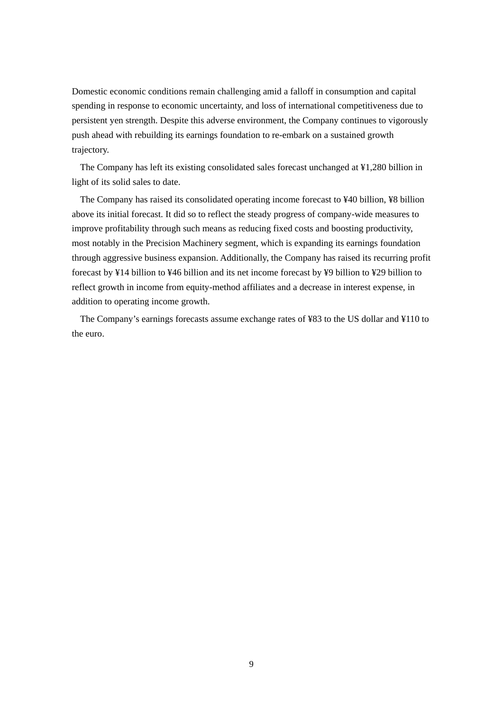Domestic economic conditions remain challenging amid a falloff in consumption and capital spending in response to economic uncertainty, and loss of international competitiveness due to persistent yen strength. Despite this adverse environment, the Company continues to vigorously push ahead with rebuilding its earnings foundation to re-embark on a sustained growth trajectory.

The Company has left its existing consolidated sales forecast unchanged at ¥1,280 billion in light of its solid sales to date.

The Company has raised its consolidated operating income forecast to ¥40 billion, ¥8 billion above its initial forecast. It did so to reflect the steady progress of company-wide measures to improve profitability through such means as reducing fixed costs and boosting productivity, most notably in the Precision Machinery segment, which is expanding its earnings foundation through aggressive business expansion. Additionally, the Company has raised its recurring profit forecast by ¥14 billion to ¥46 billion and its net income forecast by ¥9 billion to ¥29 billion to reflect growth in income from equity-method affiliates and a decrease in interest expense, in addition to operating income growth.

The Company's earnings forecasts assume exchange rates of ¥83 to the US dollar and ¥110 to the euro.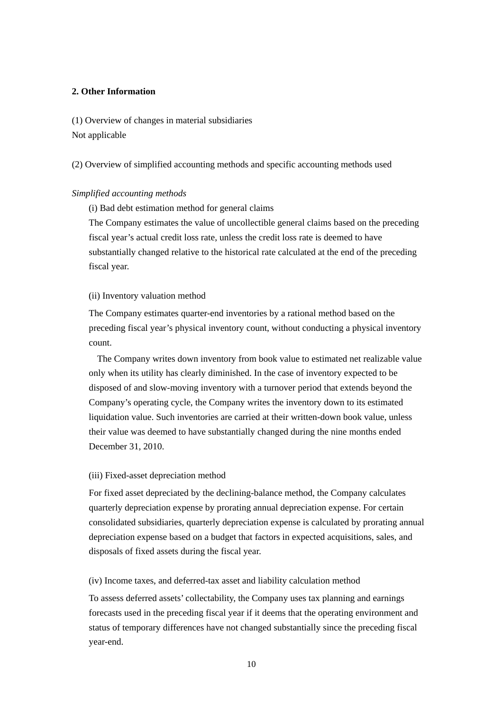# **2. Other Information**

(1) Overview of changes in material subsidiaries Not applicable

(2) Overview of simplified accounting methods and specific accounting methods used

# *Simplified accounting methods*

(i) Bad debt estimation method for general claims

The Company estimates the value of uncollectible general claims based on the preceding fiscal year's actual credit loss rate, unless the credit loss rate is deemed to have substantially changed relative to the historical rate calculated at the end of the preceding fiscal year.

### (ii) Inventory valuation method

The Company estimates quarter-end inventories by a rational method based on the preceding fiscal year's physical inventory count, without conducting a physical inventory count.

The Company writes down inventory from book value to estimated net realizable value only when its utility has clearly diminished. In the case of inventory expected to be disposed of and slow-moving inventory with a turnover period that extends beyond the Company's operating cycle, the Company writes the inventory down to its estimated liquidation value. Such inventories are carried at their written-down book value, unless their value was deemed to have substantially changed during the nine months ended December 31, 2010.

### (iii) Fixed-asset depreciation method

For fixed asset depreciated by the declining-balance method, the Company calculates quarterly depreciation expense by prorating annual depreciation expense. For certain consolidated subsidiaries, quarterly depreciation expense is calculated by prorating annual depreciation expense based on a budget that factors in expected acquisitions, sales, and disposals of fixed assets during the fiscal year.

(iv) Income taxes, and deferred-tax asset and liability calculation method

To assess deferred assets' collectability, the Company uses tax planning and earnings forecasts used in the preceding fiscal year if it deems that the operating environment and status of temporary differences have not changed substantially since the preceding fiscal year-end.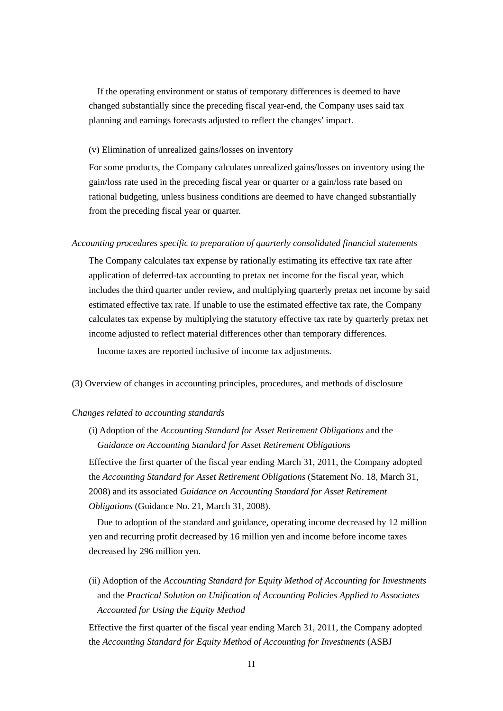If the operating environment or status of temporary differences is deemed to have changed substantially since the preceding fiscal year-end, the Company uses said tax planning and earnings forecasts adjusted to reflect the changes' impact.

### (v) Elimination of unrealized gains/losses on inventory

For some products, the Company calculates unrealized gains/losses on inventory using the gain/loss rate used in the preceding fiscal year or quarter or a gain/loss rate based on rational budgeting, unless business conditions are deemed to have changed substantially from the preceding fiscal year or quarter.

#### *Accounting procedures specific to preparation of quarterly consolidated financial statements*

The Company calculates tax expense by rationally estimating its effective tax rate after application of deferred-tax accounting to pretax net income for the fiscal year, which includes the third quarter under review, and multiplying quarterly pretax net income by said estimated effective tax rate. If unable to use the estimated effective tax rate, the Company calculates tax expense by multiplying the statutory effective tax rate by quarterly pretax net income adjusted to reflect material differences other than temporary differences.

Income taxes are reported inclusive of income tax adjustments.

(3) Overview of changes in accounting principles, procedures, and methods of disclosure

### *Changes related to accounting standards*

(i) Adoption of the *Accounting Standard for Asset Retirement Obligations* and the *Guidance on Accounting Standard for Asset Retirement Obligations*

Effective the first quarter of the fiscal year ending March 31, 2011, the Company adopted the *Accounting Standard for Asset Retirement Obligations* (Statement No. 18, March 31, 2008) and its associated *Guidance on Accounting Standard for Asset Retirement Obligations* (Guidance No. 21, March 31, 2008).

Due to adoption of the standard and guidance, operating income decreased by 12 million yen and recurring profit decreased by 16 million yen and income before income taxes decreased by 296 million yen.

(ii) Adoption of the *Accounting Standard for Equity Method of Accounting for Investments* and the *Practical Solution on Unification of Accounting Policies Applied to Associates Accounted for Using the Equity Method*

Effective the first quarter of the fiscal year ending March 31, 2011, the Company adopted the *Accounting Standard for Equity Method of Accounting for Investments* (ASBJ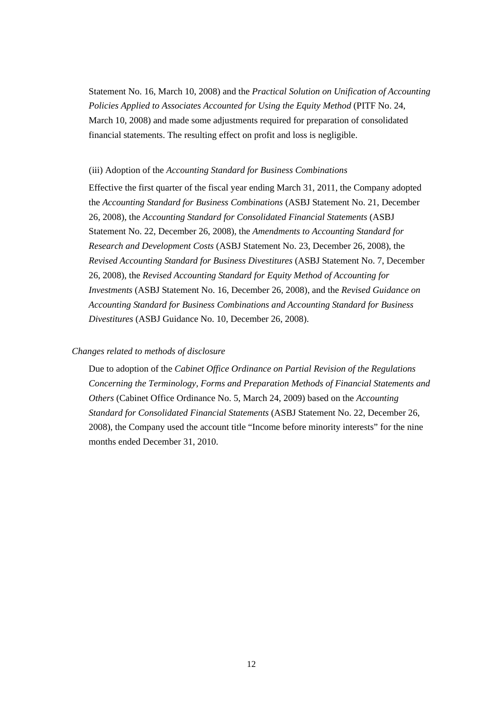Statement No. 16, March 10, 2008) and the *Practical Solution on Unification of Accounting Policies Applied to Associates Accounted for Using the Equity Method* (PITF No. 24, March 10, 2008) and made some adjustments required for preparation of consolidated financial statements. The resulting effect on profit and loss is negligible.

### (iii) Adoption of the *Accounting Standard for Business Combinations*

Effective the first quarter of the fiscal year ending March 31, 2011, the Company adopted the *Accounting Standard for Business Combinations* (ASBJ Statement No. 21, December 26, 2008)*,* the *Accounting Standard for Consolidated Financial Statements* (ASBJ Statement No. 22, December 26, 2008), the *Amendments to Accounting Standard for Research and Development Costs* (ASBJ Statement No. 23, December 26, 2008), the *Revised Accounting Standard for Business Divestitures* (ASBJ Statement No. 7, December 26, 2008), the *Revised Accounting Standard for Equity Method of Accounting for Investments* (ASBJ Statement No. 16, December 26, 2008), and the *Revised Guidance on Accounting Standard for Business Combinations and Accounting Standard for Business Divestitures* (ASBJ Guidance No. 10, December 26, 2008).

## *Changes related to methods of disclosure*

Due to adoption of the *Cabinet Office Ordinance on Partial Revision of the Regulations Concerning the Terminology, Forms and Preparation Methods of Financial Statements and Others* (Cabinet Office Ordinance No. 5, March 24, 2009) based on the *Accounting Standard for Consolidated Financial Statements* (ASBJ Statement No. 22, December 26, 2008), the Company used the account title "Income before minority interests" for the nine months ended December 31, 2010.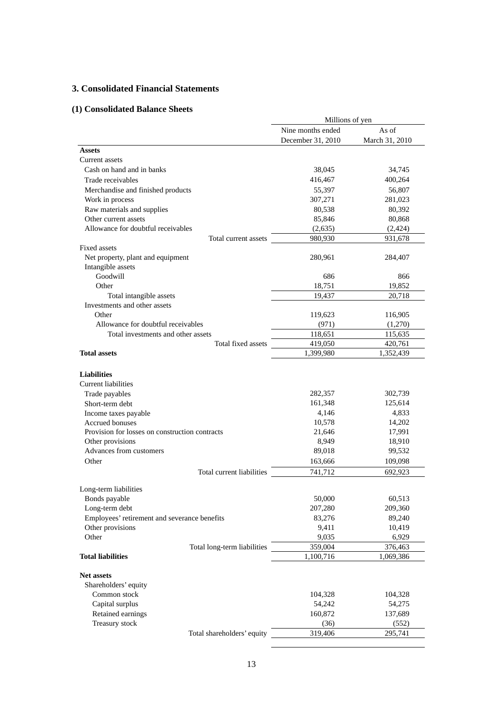# **3. Consolidated Financial Statements**

# **(1) Consolidated Balance Sheets**

|                                                                          | Millions of yen   |                  |  |
|--------------------------------------------------------------------------|-------------------|------------------|--|
|                                                                          | Nine months ended | As of            |  |
|                                                                          | December 31, 2010 | March 31, 2010   |  |
| <b>Assets</b>                                                            |                   |                  |  |
| Current assets                                                           |                   |                  |  |
| Cash on hand and in banks                                                | 38,045            | 34,745           |  |
| Trade receivables                                                        | 416,467           | 400,264          |  |
| Merchandise and finished products                                        | 55,397            | 56,807           |  |
| Work in process                                                          | 307,271           | 281,023          |  |
| Raw materials and supplies                                               | 80,538            | 80,392           |  |
| Other current assets                                                     | 85,846            | 80,868           |  |
| Allowance for doubtful receivables                                       | (2,635)           | (2,424)          |  |
| Total current assets                                                     | 980,930           | 931,678          |  |
| <b>Fixed assets</b>                                                      |                   |                  |  |
| Net property, plant and equipment<br>Intangible assets                   | 280,961           | 284,407          |  |
| Goodwill                                                                 | 686               | 866              |  |
| Other                                                                    | 18.751            | 19,852           |  |
| Total intangible assets                                                  | 19,437            | 20,718           |  |
| Investments and other assets                                             |                   |                  |  |
| Other                                                                    | 119,623           | 116,905          |  |
| Allowance for doubtful receivables                                       | (971)             | (1,270)          |  |
| Total investments and other assets                                       | 118,651           | 115,635          |  |
| Total fixed assets                                                       | 419,050           | 420,761          |  |
| <b>Total assets</b>                                                      | 1,399,980         | 1,352,439        |  |
| <b>Liabilities</b><br><b>Current liabilities</b>                         |                   |                  |  |
| Trade payables                                                           | 282,357           | 302,739          |  |
| Short-term debt                                                          | 161,348           | 125,614          |  |
| Income taxes payable                                                     | 4,146             | 4,833            |  |
| <b>Accrued bonuses</b><br>Provision for losses on construction contracts | 10,578            | 14,202           |  |
| Other provisions                                                         | 21,646<br>8,949   | 17,991           |  |
| Advances from customers                                                  | 89,018            | 18,910<br>99,532 |  |
| Other                                                                    | 163,666           |                  |  |
| Total current liabilities                                                | 741,712           | 109,098          |  |
|                                                                          |                   | 692,923          |  |
| Long-term liabilities                                                    |                   |                  |  |
| Bonds payable                                                            | 50,000            | 60,513           |  |
| Long-term debt                                                           | 207,280           | 209,360          |  |
| Employees' retirement and severance benefits                             | 83,276            | 89,240           |  |
| Other provisions                                                         | 9,411             | 10,419           |  |
| Other                                                                    | 9,035             | 6,929            |  |
| Total long-term liabilities                                              | 359,004           | 376,463          |  |
| <b>Total liabilities</b>                                                 | 1,100,716         | 1,069,386        |  |
| <b>Net assets</b><br>Shareholders' equity                                |                   |                  |  |
| Common stock                                                             | 104,328           | 104,328          |  |
| Capital surplus                                                          | 54,242            | 54,275           |  |
| Retained earnings                                                        | 160,872           | 137,689          |  |
| Treasury stock                                                           | (36)              | (552)            |  |
| Total shareholders' equity                                               | 319,406           | 295,741          |  |
|                                                                          |                   |                  |  |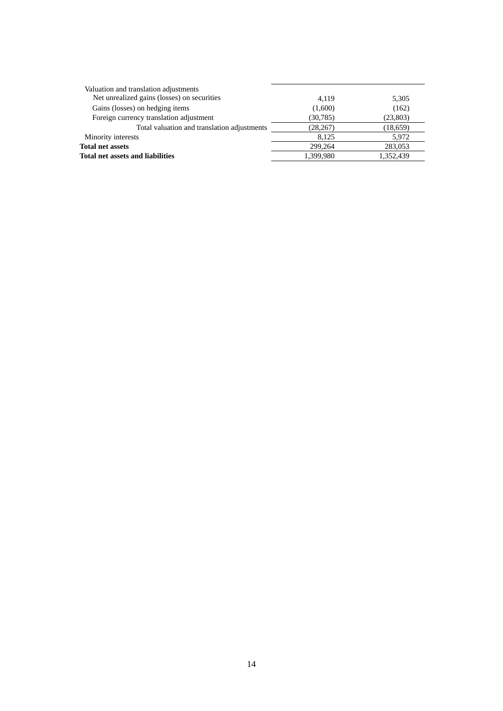| Valuation and translation adjustments       |           |           |
|---------------------------------------------|-----------|-----------|
| Net unrealized gains (losses) on securities | 4.119     | 5,305     |
| Gains (losses) on hedging items             | (1,600)   | (162)     |
| Foreign currency translation adjustment     | (30, 785) | (23, 803) |
| Total valuation and translation adjustments | (28, 267) | (18, 659) |
| Minority interests                          | 8.125     | 5,972     |
| <b>Total net assets</b>                     | 299,264   | 283,053   |
| <b>Total net assets and liabilities</b>     | 1.399.980 | 1,352,439 |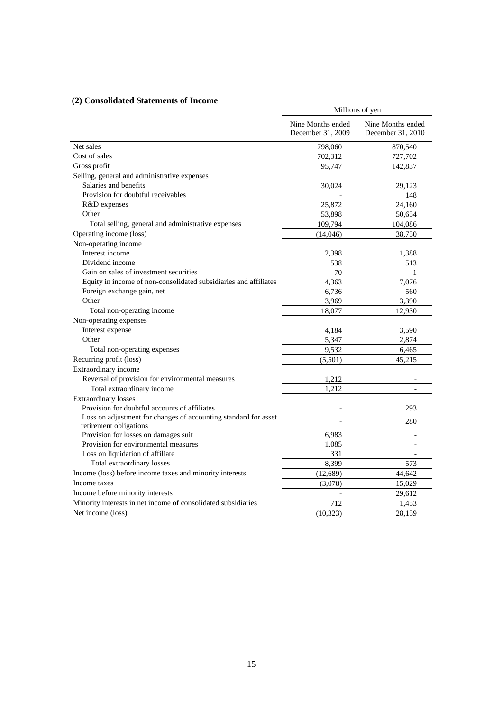# **(2) Consolidated Statements of Income**

| onsonaatea statements                                                                     | Millions of yen                        |                                        |  |
|-------------------------------------------------------------------------------------------|----------------------------------------|----------------------------------------|--|
|                                                                                           | Nine Months ended<br>December 31, 2009 | Nine Months ended<br>December 31, 2010 |  |
| Net sales                                                                                 | 798,060                                | 870,540                                |  |
| Cost of sales                                                                             | 702,312                                | 727,702                                |  |
| Gross profit                                                                              | 95,747                                 | 142,837                                |  |
| Selling, general and administrative expenses                                              |                                        |                                        |  |
| Salaries and benefits                                                                     | 30,024                                 | 29,123                                 |  |
| Provision for doubtful receivables                                                        |                                        | 148                                    |  |
| R&D expenses                                                                              | 25,872                                 | 24,160                                 |  |
| Other                                                                                     | 53,898                                 | 50,654                                 |  |
| Total selling, general and administrative expenses                                        | 109,794                                | 104,086                                |  |
| Operating income (loss)                                                                   | (14,046)                               | 38,750                                 |  |
| Non-operating income                                                                      |                                        |                                        |  |
| Interest income                                                                           | 2,398                                  | 1,388                                  |  |
| Dividend income                                                                           | 538                                    | 513                                    |  |
| Gain on sales of investment securities                                                    | 70                                     | $\mathbf{1}$                           |  |
| Equity in income of non-consolidated subsidiaries and affiliates                          | 4,363                                  | 7,076                                  |  |
| Foreign exchange gain, net                                                                | 6,736                                  | 560                                    |  |
| Other                                                                                     | 3,969                                  | 3,390                                  |  |
| Total non-operating income                                                                | 18,077                                 | 12,930                                 |  |
| Non-operating expenses                                                                    |                                        |                                        |  |
| Interest expense                                                                          | 4,184                                  | 3,590                                  |  |
| Other                                                                                     | 5,347                                  | 2,874                                  |  |
| Total non-operating expenses                                                              | 9,532                                  | 6,465                                  |  |
| Recurring profit (loss)                                                                   | (5,501)                                | 45,215                                 |  |
| Extraordinary income                                                                      |                                        |                                        |  |
| Reversal of provision for environmental measures                                          | 1,212                                  |                                        |  |
| Total extraordinary income                                                                | 1,212                                  | $\overline{\phantom{a}}$               |  |
| <b>Extraordinary losses</b>                                                               |                                        |                                        |  |
| Provision for doubtful accounts of affiliates                                             |                                        | 293                                    |  |
| Loss on adjustment for changes of accounting standard for asset<br>retirement obligations |                                        | 280                                    |  |
| Provision for losses on damages suit                                                      | 6,983                                  |                                        |  |
| Provision for environmental measures                                                      | 1,085                                  |                                        |  |
| Loss on liquidation of affiliate                                                          | 331                                    |                                        |  |
| Total extraordinary losses                                                                | 8,399                                  | 573                                    |  |
| Income (loss) before income taxes and minority interests                                  | (12, 689)                              | 44,642                                 |  |
| Income taxes                                                                              | (3,078)                                | 15,029                                 |  |
| Income before minority interests                                                          |                                        | 29,612                                 |  |
| Minority interests in net income of consolidated subsidiaries                             | 712                                    | 1,453                                  |  |
| Net income (loss)                                                                         | (10, 323)                              | 28,159                                 |  |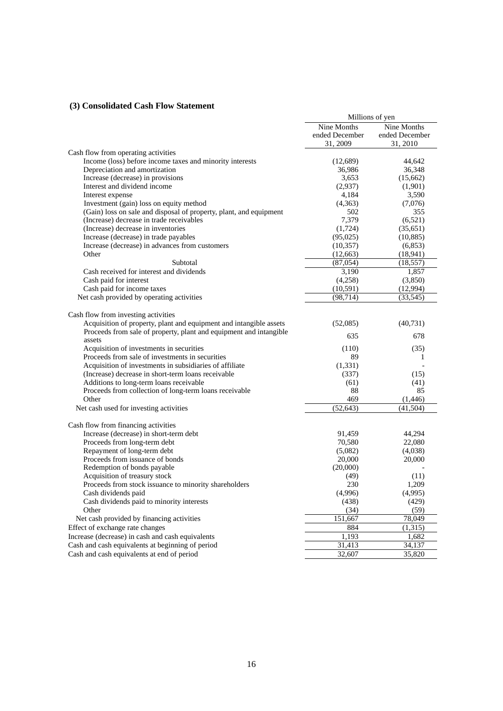# **(3) Consolidated Cash Flow Statement**

|                                                                    | Millions of yen |                                  |
|--------------------------------------------------------------------|-----------------|----------------------------------|
|                                                                    | Nine Months     | $\overline{\text{N}}$ ine Months |
|                                                                    | ended December  | ended December                   |
|                                                                    | 31, 2009        | 31, 2010                         |
| Cash flow from operating activities                                |                 |                                  |
| Income (loss) before income taxes and minority interests           | (12,689)        | 44,642                           |
| Depreciation and amortization                                      | 36,986          | 36,348                           |
| Increase (decrease) in provisions                                  | 3,653           | (15,662)                         |
| Interest and dividend income                                       | (2,937)         | (1,901)                          |
| Interest expense                                                   | 4,184           | 3,590                            |
| Investment (gain) loss on equity method                            | (4,363)         | (7,076)                          |
| (Gain) loss on sale and disposal of property, plant, and equipment | 502             | 355                              |
| (Increase) decrease in trade receivables                           | 7,379           | (6,521)                          |
| (Increase) decrease in inventories                                 | (1,724)         | (35,651)                         |
| Increase (decrease) in trade payables                              | (95,025)        | (10, 885)                        |
| Increase (decrease) in advances from customers                     | (10, 357)       | (6, 853)                         |
| Other                                                              | (12, 663)       | (18, 941)                        |
| Subtotal                                                           | (87,054)        | (18, 557)                        |
| Cash received for interest and dividends                           | 3,190           | 1,857                            |
| Cash paid for interest                                             | (4,258)         | (3,850)                          |
| Cash paid for income taxes                                         | (10,591)        | (12,994)                         |
| Net cash provided by operating activities                          | (98, 714)       | (33, 545)                        |
|                                                                    |                 |                                  |
| Cash flow from investing activities                                |                 |                                  |
| Acquisition of property, plant and equipment and intangible assets | (52,085)        | (40, 731)                        |
| Proceeds from sale of property, plant and equipment and intangible |                 |                                  |
| assets                                                             | 635             | 678                              |
| Acquisition of investments in securities                           | (110)           | (35)                             |
| Proceeds from sale of investments in securities                    | 89              | 1                                |
| Acquisition of investments in subsidiaries of affiliate            | (1, 331)        |                                  |
| (Increase) decrease in short-term loans receivable                 | (337)           | (15)                             |
| Additions to long-term loans receivable                            | (61)            | (41)                             |
| Proceeds from collection of long-term loans receivable             | 88              | 85                               |
| Other                                                              | 469             | (1,446)                          |
| Net cash used for investing activities                             | (52, 643)       | (41, 504)                        |
|                                                                    |                 |                                  |
| Cash flow from financing activities                                |                 |                                  |
| Increase (decrease) in short-term debt                             | 91,459          | 44,294                           |
| Proceeds from long-term debt                                       | 70,580          | 22,080                           |
| Repayment of long-term debt                                        | (5,082)         | (4,038)                          |
| Proceeds from issuance of bonds                                    | 20,000          | 20,000                           |
| Redemption of bonds payable                                        | (20,000)        |                                  |
| Acquisition of treasury stock                                      | (49)            | (11)                             |
| Proceeds from stock issuance to minority shareholders              | 230             | 1,209                            |
| Cash dividends paid                                                | (4,996)         | (4,995)                          |
| Cash dividends paid to minority interests                          | (438)           | (429)                            |
| Other                                                              | (34)            | (59)                             |
| Net cash provided by financing activities                          | 151,667         | 78,049                           |
| Effect of exchange rate changes                                    | 884             | (1, 315)                         |
| Increase (decrease) in cash and cash equivalents                   | 1,193           | 1,682                            |
| Cash and cash equivalents at beginning of period                   | 31,413          | 34,137                           |
| Cash and cash equivalents at end of period                         | 32,607          | 35,820                           |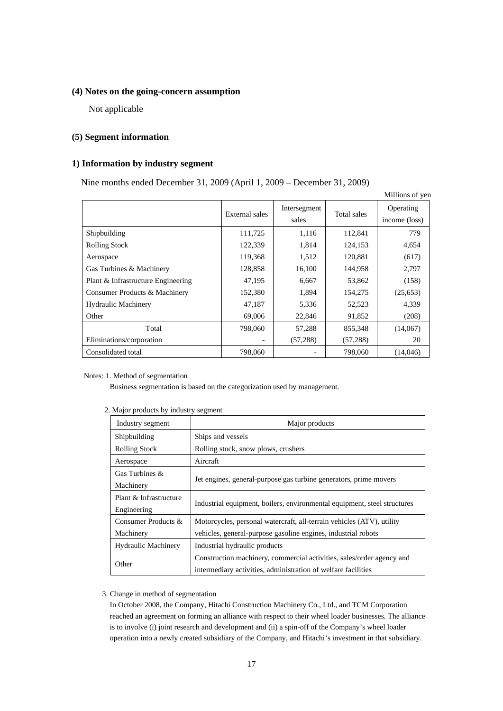### **(4) Notes on the going-concern assumption**

Not applicable

### **(5) Segment information**

# **1) Information by industry segment**

Nine months ended December 31, 2009 (April 1, 2009 – December 31, 2009)

|                                    |                |                       |             | Millions of yen            |
|------------------------------------|----------------|-----------------------|-------------|----------------------------|
|                                    | External sales | Intersegment<br>sales | Total sales | Operating<br>income (loss) |
| Shipbuilding                       | 111,725        | 1,116                 | 112,841     | 779                        |
| <b>Rolling Stock</b>               | 122,339        | 1,814                 | 124,153     | 4,654                      |
| Aerospace                          | 119,368        | 1,512                 | 120,881     | (617)                      |
| Gas Turbines & Machinery           | 128,858        | 16,100                | 144,958     | 2,797                      |
| Plant & Infrastructure Engineering | 47,195         | 6,667                 | 53,862      | (158)                      |
| Consumer Products & Machinery      | 152,380        | 1,894                 | 154,275     | (25,653)                   |
| <b>Hydraulic Machinery</b>         | 47,187         | 5,336                 | 52,523      | 4,339                      |
| Other                              | 69,006         | 22,846                | 91,852      | (208)                      |
| Total                              | 798,060        | 57,288                | 855,348     | (14,067)                   |
| Eliminations/corporation           |                | (57, 288)             | (57, 288)   | 20                         |
| Consolidated total                 | 798,060        |                       | 798,060     | (14,046)                   |

#### Notes: 1. Method of segmentation

Business segmentation is based on the categorization used by management.

| Industry segment                                   | Major products                                                                                                                         |
|----------------------------------------------------|----------------------------------------------------------------------------------------------------------------------------------------|
| Shipbuilding                                       | Ships and vessels                                                                                                                      |
| <b>Rolling Stock</b>                               | Rolling stock, snow plows, crushers                                                                                                    |
| Aerospace                                          | Aircraft                                                                                                                               |
| Gas Turbines $\&$                                  | Jet engines, general-purpose gas turbine generators, prime movers                                                                      |
| Machinery<br>Plant & Infrastructure<br>Engineering | Industrial equipment, boilers, environmental equipment, steel structures                                                               |
| Consumer Products &<br>Machinery                   | Motorcycles, personal watercraft, all-terrain vehicles (ATV), utility<br>vehicles, general-purpose gasoline engines, industrial robots |
| <b>Hydraulic Machinery</b>                         | Industrial hydraulic products                                                                                                          |
| Other                                              | Construction machinery, commercial activities, sales/order agency and<br>intermediary activities, administration of welfare facilities |

### 2. Major products by industry segment

#### 3. Change in method of segmentation

In October 2008, the Company, Hitachi Construction Machinery Co., Ltd., and TCM Corporation reached an agreement on forming an alliance with respect to their wheel loader businesses. The alliance is to involve (i) joint research and development and (ii) a spin-off of the Company's wheel loader operation into a newly created subsidiary of the Company, and Hitachi's investment in that subsidiary.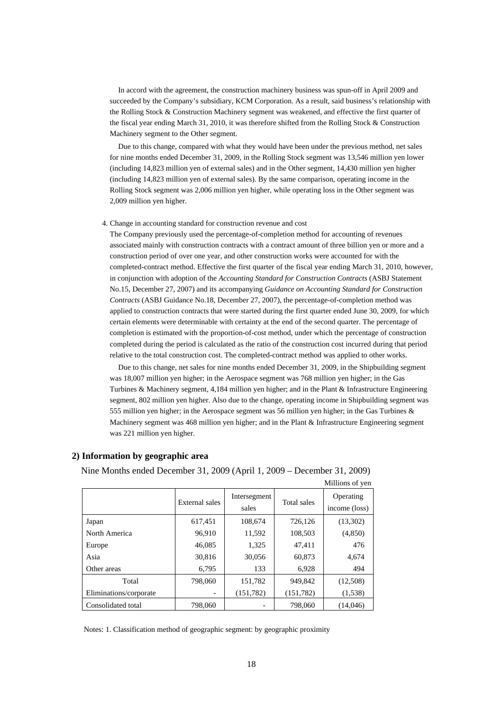In accord with the agreement, the construction machinery business was spun-off in April 2009 and succeeded by the Company's subsidiary, KCM Corporation. As a result, said business's relationship with the Rolling Stock & Construction Machinery segment was weakened, and effective the first quarter of the fiscal year ending March 31, 2010, it was therefore shifted from the Rolling Stock & Construction Machinery segment to the Other segment.

Due to this change, compared with what they would have been under the previous method, net sales for nine months ended December 31, 2009, in the Rolling Stock segment was 13,546 million yen lower (including 14,823 million yen of external sales) and in the Other segment, 14,430 million yen higher (including 14,823 million yen of external sales). By the same comparison, operating income in the Rolling Stock segment was 2,006 million yen higher, while operating loss in the Other segment was 2,009 million yen higher.

#### 4. Change in accounting standard for construction revenue and cost

The Company previously used the percentage-of-completion method for accounting of revenues associated mainly with construction contracts with a contract amount of three billion yen or more and a construction period of over one year, and other construction works were accounted for with the completed-contract method. Effective the first quarter of the fiscal year ending March 31, 2010, however, in conjunction with adoption of the *Accounting Standard for Construction Contracts* (ASBJ Statement No.15, December 27, 2007) and its accompanying *Guidance on Accounting Standard for Construction Contracts* (ASBJ Guidance No.18, December 27, 2007), the percentage-of-completion method was applied to construction contracts that were started during the first quarter ended June 30, 2009, for which certain elements were determinable with certainty at the end of the second quarter. The percentage of completion is estimated with the proportion-of-cost method, under which the percentage of construction completed during the period is calculated as the ratio of the construction cost incurred during that period relative to the total construction cost. The completed-contract method was applied to other works.

Due to this change, net sales for nine months ended December 31, 2009, in the Shipbuilding segment was 18,007 million yen higher; in the Aerospace segment was 768 million yen higher; in the Gas Turbines & Machinery segment, 4,184 million yen higher; and in the Plant & Infrastructure Engineering segment, 802 million yen higher. Also due to the change, operating income in Shipbuilding segment was 555 million yen higher; in the Aerospace segment was 56 million yen higher; in the Gas Turbines & Machinery segment was 468 million yen higher; and in the Plant & Infrastructure Engineering segment was 221 million yen higher.

### **2) Information by geographic area**

Nine Months ended December 31, 2009 (April 1, 2009 – December 31, 2009)

|                        |                |              |             | Millions of yen |
|------------------------|----------------|--------------|-------------|-----------------|
|                        | External sales | Intersegment | Total sales | Operating       |
|                        |                | sales        |             | income (loss)   |
| Japan                  | 617,451        | 108,674      | 726,126     | (13,302)        |
| North America          | 96,910         | 11,592       | 108,503     | (4,850)         |
| Europe                 | 46,085         | 1,325        | 47,411      | 476             |
| Asia                   | 30,816         | 30,056       | 60,873      | 4.674           |
| Other areas            | 6,795          | 133          | 6,928       | 494             |
| Total                  | 798,060        | 151,782      | 949.842     | (12,508)        |
| Eliminations/corporate |                | (151, 782)   | (151, 782)  | (1,538)         |
| Consolidated total     | 798,060        |              | 798,060     | (14,046)        |

Notes: 1. Classification method of geographic segment: by geographic proximity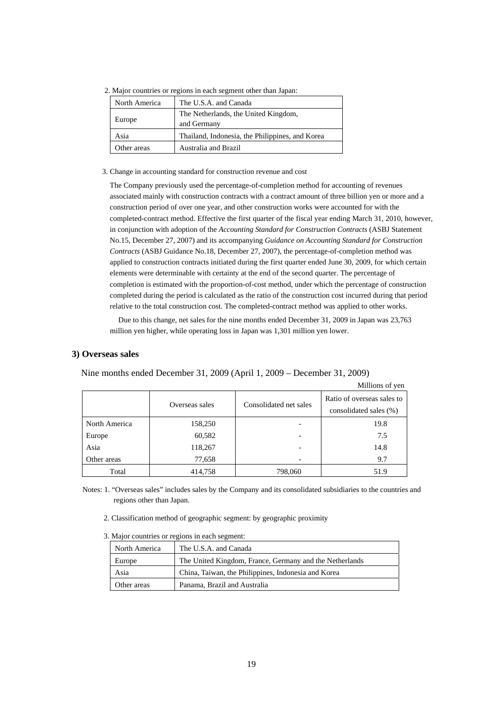|  |  |  | 2. Major countries or regions in each segment other than Japan: |  |
|--|--|--|-----------------------------------------------------------------|--|
|  |  |  |                                                                 |  |

| North America | The U.S.A. and Canada                               |
|---------------|-----------------------------------------------------|
| Europe        | The Netherlands, the United Kingdom,<br>and Germany |
| Asia          | Thailand, Indonesia, the Philippines, and Korea     |
| Other areas   | Australia and Brazil                                |

#### 3. Change in accounting standard for construction revenue and cost

The Company previously used the percentage-of-completion method for accounting of revenues associated mainly with construction contracts with a contract amount of three billion yen or more and a construction period of over one year, and other construction works were accounted for with the completed-contract method. Effective the first quarter of the fiscal year ending March 31, 2010, however, in conjunction with adoption of the *Accounting Standard for Construction Contracts* (ASBJ Statement No.15, December 27, 2007) and its accompanying *Guidance on Accounting Standard for Construction Contracts* (ASBJ Guidance No.18, December 27, 2007), the percentage-of-completion method was applied to construction contracts initiated during the first quarter ended June 30, 2009, for which certain elements were determinable with certainty at the end of the second quarter. The percentage of completion is estimated with the proportion-of-cost method, under which the percentage of construction completed during the period is calculated as the ratio of the construction cost incurred during that period relative to the total construction cost. The completed-contract method was applied to other works.

Due to this change, net sales for the nine months ended December 31, 2009 in Japan was 23,763 million yen higher, while operating loss in Japan was 1,301 million yen lower.

#### **3) Overseas sales**

Nine months ended December 31, 2009 (April 1, 2009 – December 31, 2009)

|               |                |                        | Millions of yen                                      |
|---------------|----------------|------------------------|------------------------------------------------------|
|               | Overseas sales | Consolidated net sales | Ratio of overseas sales to<br>consolidated sales (%) |
| North America | 158,250        |                        | 19.8                                                 |
| Europe        | 60,582         |                        | 7.5                                                  |
| Asia          | 118,267        |                        | 14.8                                                 |
| Other areas   | 77,658         |                        | 9.7                                                  |
| Total         | 414,758        | 798,060                | 51.9                                                 |

Notes: 1. "Overseas sales" includes sales by the Company and its consolidated subsidiaries to the countries and regions other than Japan.

- 2. Classification method of geographic segment: by geographic proximity
- 3. Major countries or regions in each segment:

| North America | The U.S.A. and Canada                                   |
|---------------|---------------------------------------------------------|
| Europe        | The United Kingdom, France, Germany and the Netherlands |
| Asia          | China, Taiwan, the Philippines, Indonesia and Korea     |
| Other areas   | Panama, Brazil and Australia                            |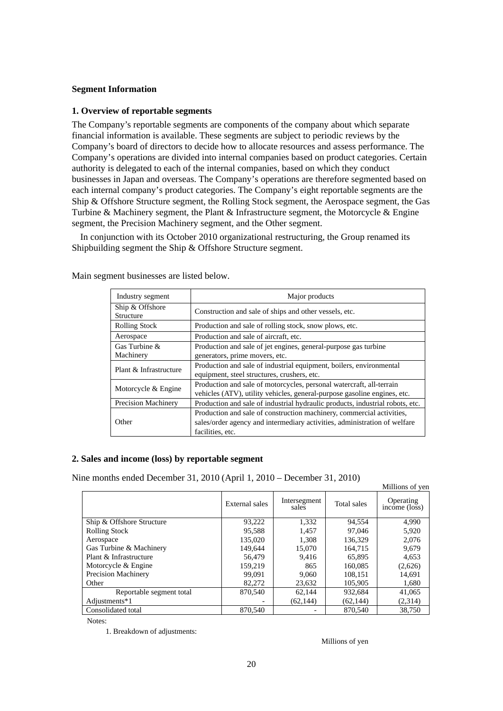# **Segment Information**

### **1. Overview of reportable segments**

The Company's reportable segments are components of the company about which separate financial information is available. These segments are subject to periodic reviews by the Company's board of directors to decide how to allocate resources and assess performance. The Company's operations are divided into internal companies based on product categories. Certain authority is delegated to each of the internal companies, based on which they conduct businesses in Japan and overseas. The Company's operations are therefore segmented based on each internal company's product categories. The Company's eight reportable segments are the Ship & Offshore Structure segment, the Rolling Stock segment, the Aerospace segment, the Gas Turbine & Machinery segment, the Plant & Infrastructure segment, the Motorcycle & Engine segment, the Precision Machinery segment, and the Other segment.

In conjunction with its October 2010 organizational restructuring, the Group renamed its Shipbuilding segment the Ship & Offshore Structure segment.

| Industry segment             | Major products                                                                                                                                                         |
|------------------------------|------------------------------------------------------------------------------------------------------------------------------------------------------------------------|
| Ship & Offshore<br>Structure | Construction and sale of ships and other vessels, etc.                                                                                                                 |
| <b>Rolling Stock</b>         | Production and sale of rolling stock, snow plows, etc.                                                                                                                 |
| Aerospace                    | Production and sale of aircraft, etc.                                                                                                                                  |
| Gas Turbine &<br>Machinery   | Production and sale of jet engines, general-purpose gas turbine<br>generators, prime movers, etc.                                                                      |
| Plant & Infrastructure       | Production and sale of industrial equipment, boilers, environmental<br>equipment, steel structures, crushers, etc.                                                     |
| Motorcycle & Engine          | Production and sale of motorcycles, personal watercraft, all-terrain<br>vehicles (ATV), utility vehicles, general-purpose gasoline engines, etc.                       |
| <b>Precision Machinery</b>   | Production and sale of industrial hydraulic products, industrial robots, etc.                                                                                          |
| Other                        | Production and sale of construction machinery, commercial activities,<br>sales/order agency and intermediary activities, administration of welfare<br>facilities, etc. |

Main segment businesses are listed below.

# **2. Sales and income (loss) by reportable segment**

Nine months ended December 31, 2010 (April 1, 2010 – December 31, 2010)

|                            |                |                       |             | <b>NUMBER OF ACTL</b>      |
|----------------------------|----------------|-----------------------|-------------|----------------------------|
|                            | External sales | Intersegment<br>sales | Total sales | Operating<br>income (loss) |
| Ship & Offshore Structure  | 93.222         | 1.332                 | 94,554      | 4.990                      |
| <b>Rolling Stock</b>       | 95.588         | 1.457                 | 97,046      | 5,920                      |
| Aerospace                  | 135,020        | 1.308                 | 136.329     | 2.076                      |
| Gas Turbine & Machinery    | 149.644        | 15,070                | 164.715     | 9,679                      |
| Plant & Infrastructure     | 56,479         | 9.416                 | 65,895      | 4,653                      |
| Motorcycle & Engine        | 159.219        | 865                   | 160.085     | (2,626)                    |
| <b>Precision Machinery</b> | 99.091         | 9.060                 | 108.151     | 14,691                     |
| Other                      | 82,272         | 23,632                | 105,905     | 1,680                      |
| Reportable segment total   | 870,540        | 62.144                | 932,684     | 41,065                     |
| Adjustments*1              |                | (62, 144)             | (62, 144)   | (2,314)                    |
| Consolidated total         | 870,540        |                       | 870,540     | 38.750                     |

Notes:

1. Breakdown of adjustments:

Millions of yen

Millions of yen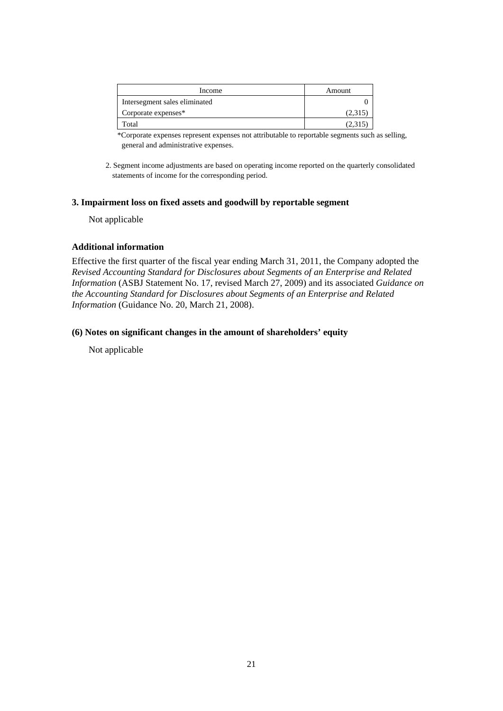| Income                        | Amount  |
|-------------------------------|---------|
| Intersegment sales eliminated |         |
| Corporate expenses*           | (2,315) |
| `otal                         | (2,31)  |

\*Corporate expenses represent expenses not attributable to reportable segments such as selling, general and administrative expenses.

2. Segment income adjustments are based on operating income reported on the quarterly consolidated statements of income for the corresponding period.

# **3. Impairment loss on fixed assets and goodwill by reportable segment**

Not applicable

# **Additional information**

Effective the first quarter of the fiscal year ending March 31, 2011, the Company adopted the *Revised Accounting Standard for Disclosures about Segments of an Enterprise and Related Information* (ASBJ Statement No. 17, revised March 27, 2009) and its associated *Guidance on the Accounting Standard for Disclosures about Segments of an Enterprise and Related Information* (Guidance No. 20, March 21, 2008).

# **(6) Notes on significant changes in the amount of shareholders' equity**

Not applicable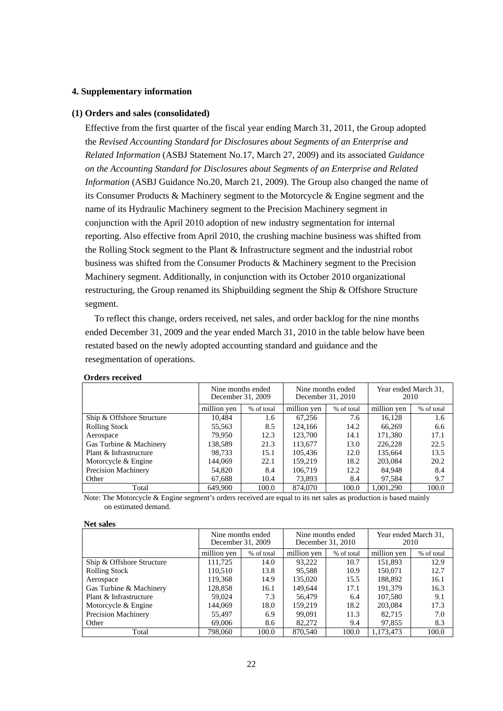# **4. Supplementary information**

### **(1) Orders and sales (consolidated)**

Effective from the first quarter of the fiscal year ending March 31, 2011, the Group adopted the *Revised Accounting Standard for Disclosures about Segments of an Enterprise and Related Information* (ASBJ Statement No.17, March 27, 2009) and its associated *Guidance on the Accounting Standard for Disclosures about Segments of an Enterprise and Related Information* (ASBJ Guidance No.20, March 21, 2009). The Group also changed the name of its Consumer Products & Machinery segment to the Motorcycle & Engine segment and the name of its Hydraulic Machinery segment to the Precision Machinery segment in conjunction with the April 2010 adoption of new industry segmentation for internal reporting. Also effective from April 2010, the crushing machine business was shifted from the Rolling Stock segment to the Plant & Infrastructure segment and the industrial robot business was shifted from the Consumer Products & Machinery segment to the Precision Machinery segment. Additionally, in conjunction with its October 2010 organizational restructuring, the Group renamed its Shipbuilding segment the Ship & Offshore Structure segment.

To reflect this change, orders received, net sales, and order backlog for the nine months ended December 31, 2009 and the year ended March 31, 2010 in the table below have been restated based on the newly adopted accounting standard and guidance and the resegmentation of operations.

|                           | Nine months ended<br>December 31, 2009 |            | Nine months ended<br>December 31, 2010 |            | Year ended March 31.<br>2010 |            |
|---------------------------|----------------------------------------|------------|----------------------------------------|------------|------------------------------|------------|
|                           | million yen                            | % of total | million yen                            | % of total | million yen                  | % of total |
| Ship & Offshore Structure | 10,484                                 | 1.6        | 67,256                                 | 7.6        | 16,128                       | 1.6        |
| <b>Rolling Stock</b>      | 55,563                                 | 8.5        | 124,166                                | 14.2       | 66.269                       | 6.6        |
| Aerospace                 | 79.950                                 | 12.3       | 123,700                                | 14.1       | 171,380                      | 17.1       |
| Gas Turbine & Machinery   | 138,589                                | 21.3       | 113,677                                | 13.0       | 226,228                      | 22.5       |
| Plant & Infrastructure    | 98.733                                 | 15.1       | 105.436                                | 12.0       | 135,664                      | 13.5       |
| Motorcycle & Engine       | 144.069                                | 22.1       | 159.219                                | 18.2       | 203,084                      | 20.2       |
| Precision Machinery       | 54.820                                 | 8.4        | 106.719                                | 12.2       | 84.948                       | 8.4        |
| Other                     | 67,688                                 | 10.4       | 73,893                                 | 8.4        | 97,584                       | 9.7        |
| Total                     | 649,900                                | 100.0      | 874,070                                | 100.0      | 1.001.290                    | 100.0      |

### **Orders received**

Note: The Motorcycle & Engine segment's orders received are equal to its net sales as production is based mainly on estimated demand.

#### **Net sales**

|                           | Nine months ended<br>December 31, 2009<br>million yen<br>% of total |       | Nine months ended<br>December 31, 2010 |       | Year ended March 31,<br>2010 |            |
|---------------------------|---------------------------------------------------------------------|-------|----------------------------------------|-------|------------------------------|------------|
|                           |                                                                     |       | million yen<br>% of total              |       | million yen                  | % of total |
| Ship & Offshore Structure | 111.725                                                             | 14.0  | 93,222                                 | 10.7  | 151,893                      | 12.9       |
| <b>Rolling Stock</b>      | 110,510                                                             | 13.8  | 95,588                                 | 10.9  | 150,071                      | 12.7       |
| Aerospace                 | 119,368                                                             | 14.9  | 135,020<br>15.5                        |       | 188,892                      | 16.1       |
| Gas Turbine & Machinery   | 128,858                                                             | 16.1  | 149,644                                | 17.1  | 191,379                      | 16.3       |
| Plant & Infrastructure    | 59,024                                                              | 7.3   | 56,479                                 | 6.4   | 107.580                      | 9.1        |
| Motorcycle & Engine       | 144.069                                                             | 18.0  | 159.219                                | 18.2  | 203,084                      | 17.3       |
| Precision Machinery       | 55,497                                                              | 6.9   | 99,091                                 | 11.3  | 82.715                       | 7.0        |
| Other                     | 69,006                                                              | 8.6   | 82,272                                 | 9.4   | 97,855                       | 8.3        |
| Total                     | 798,060                                                             | 100.0 | 870,540                                | 100.0 | 1.173.473                    | 100.0      |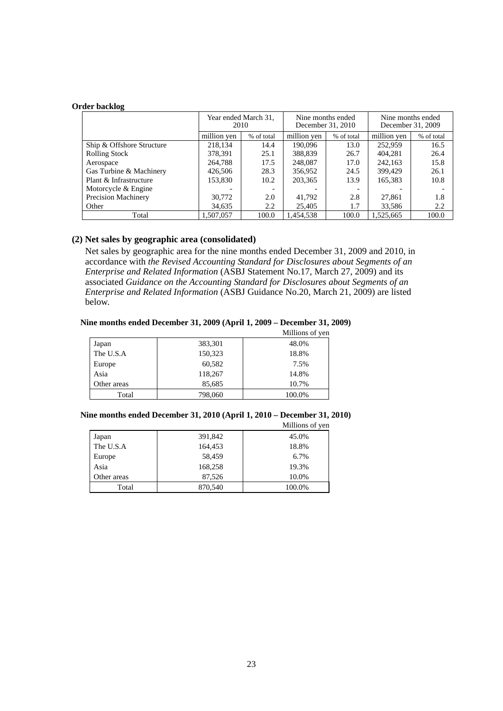### **Order backlog**

|                           | Year ended March 31,<br>2010 |                           | Nine months ended<br>December 31, 2010 |            | Nine months ended<br>December 31, 2009 |            |
|---------------------------|------------------------------|---------------------------|----------------------------------------|------------|----------------------------------------|------------|
|                           | million yen                  | million yen<br>% of total |                                        | % of total | million yen                            | % of total |
| Ship & Offshore Structure | 218,134                      | 14.4                      | 190,096                                | 13.0       | 252,959                                | 16.5       |
| <b>Rolling Stock</b>      | 378,391                      | 25.1                      | 388,839                                | 26.7       | 404.281                                | 26.4       |
| Aerospace                 | 264,788                      | 17.5                      | 248,087                                | 17.0       | 242,163                                | 15.8       |
| Gas Turbine & Machinery   | 426,506                      | 28.3                      | 356,952                                | 24.5       | 399,429                                | 26.1       |
| Plant & Infrastructure    | 153,830                      | 10.2                      | 203,365                                | 13.9       | 165,383                                | 10.8       |
| Motorcycle & Engine       |                              |                           |                                        |            |                                        |            |
| Precision Machinery       | 30,772                       | 2.0                       | 41,792                                 | 2.8        | 27,861                                 | 1.8        |
| Other                     | 34,635                       | 2.2                       | 25,405                                 | 1.7        | 33,586                                 | 2.2        |
| Total                     | 1.507.057                    | 100.0                     | 1.454.538                              | 100.0      | 1.525.665                              | 100.0      |

# **(2) Net sales by geographic area (consolidated)**

Net sales by geographic area for the nine months ended December 31, 2009 and 2010, in accordance with *the Revised Accounting Standard for Disclosures about Segments of an Enterprise and Related Information* (ASBJ Statement No.17, March 27, 2009) and its associated *Guidance on the Accounting Standard for Disclosures about Segments of an Enterprise and Related Information* (ASBJ Guidance No.20, March 21, 2009) are listed below.

# **Nine months ended December 31, 2009 (April 1, 2009 – December 31, 2009)**

|             |         | Millions of yen |
|-------------|---------|-----------------|
| Japan       | 383,301 | 48.0%           |
| The U.S.A   | 150,323 | 18.8%           |
| Europe      | 60,582  | 7.5%            |
| Asia        | 118,267 | 14.8%           |
| Other areas | 85,685  | 10.7%           |
| Total       | 798,060 | 100.0%          |

### **Nine months ended December 31, 2010 (April 1, 2010 – December 31, 2010)**

|             |         | Millions of yen |
|-------------|---------|-----------------|
| Japan       | 391,842 | 45.0%           |
| The U.S.A   | 164,453 | 18.8%           |
| Europe      | 58,459  | 6.7%            |
| Asia        | 168,258 | 19.3%           |
| Other areas | 87,526  | 10.0%           |
| Total       | 870,540 | 100.0%          |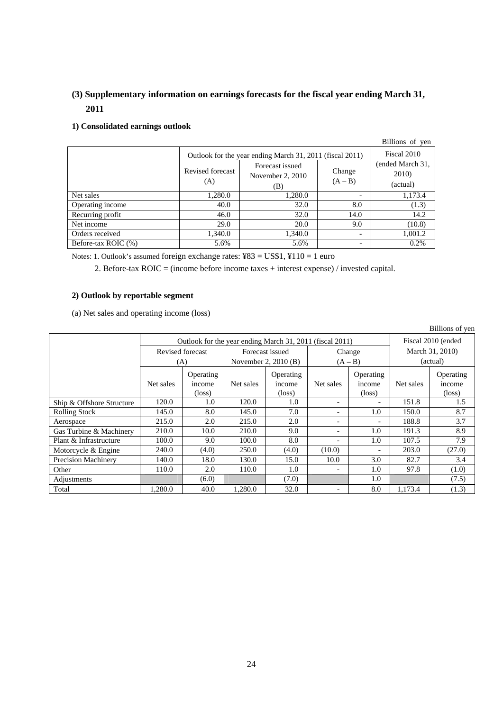# **(3) Supplementary information on earnings forecasts for the fiscal year ending March 31, 2011**

# **1) Consolidated earnings outlook**

|                     |                                                          |                                            |                          | Billions of yen                       |
|---------------------|----------------------------------------------------------|--------------------------------------------|--------------------------|---------------------------------------|
|                     | Outlook for the year ending March 31, 2011 (fiscal 2011) | Fiscal 2010                                |                          |                                       |
|                     | Revised forecast<br>(A)                                  | Forecast issued<br>November 2, 2010<br>(B) | Change<br>$(A - B)$      | (ended March 31,<br>2010)<br>(actual) |
| Net sales           | 1,280.0                                                  | 1,280.0                                    | -                        | 1,173.4                               |
| Operating income    | 40.0                                                     | 32.0                                       | 8.0                      | (1.3)                                 |
| Recurring profit    | 46.0                                                     | 32.0                                       | 14.0                     | 14.2                                  |
| Net income          | 29.0                                                     | 20.0                                       | 9.0                      | (10.8)                                |
| Orders received     | 1.340.0                                                  | 1,340.0                                    | $\overline{\phantom{0}}$ | 1,001.2                               |
| Before-tax ROIC (%) | 5.6%                                                     | 5.6%                                       | -                        | 0.2%                                  |

Notes: 1. Outlook's assumed foreign exchange rates: ¥83 = US\$1, ¥110 = 1 euro

2. Before-tax ROIC = (income before income taxes + interest expense) / invested capital.

# **2) Outlook by reportable segment**

(a) Net sales and operating income (loss)

| Billions of yen           |                                                          |                                               |                      |                 |                          |                          |                 |                    |  |
|---------------------------|----------------------------------------------------------|-----------------------------------------------|----------------------|-----------------|--------------------------|--------------------------|-----------------|--------------------|--|
|                           | Outlook for the year ending March 31, 2011 (fiscal 2011) |                                               |                      |                 |                          |                          |                 | Fiscal 2010 (ended |  |
|                           |                                                          | Revised forecast<br>Forecast issued<br>Change |                      |                 |                          |                          | March 31, 2010) |                    |  |
|                           | (A)                                                      |                                               | November 2, 2010 (B) |                 | $(A - B)$                |                          | (actual)        |                    |  |
|                           |                                                          | Operating                                     |                      | Operating       |                          | Operating                |                 | Operating          |  |
|                           | Net sales                                                | income                                        | Net sales            | income          | Net sales                | income                   | Net sales       | income             |  |
|                           |                                                          | $(\text{loss})$                               |                      | $(\text{loss})$ |                          | $(\text{loss})$          |                 | $(\text{loss})$    |  |
| Ship & Offshore Structure | 120.0                                                    | 1.0                                           | 120.0                | 1.0             | $\overline{\phantom{0}}$ | $\overline{\phantom{a}}$ | 151.8           | 1.5                |  |
| <b>Rolling Stock</b>      | 145.0                                                    | 8.0                                           | 145.0                | 7.0             |                          | 1.0                      | 150.0           | 8.7                |  |
| Aerospace                 | 215.0                                                    | 2.0                                           | 215.0                | 2.0             | $\overline{\phantom{0}}$ | $\overline{\phantom{a}}$ | 188.8           | 3.7                |  |
| Gas Turbine & Machinery   | 210.0                                                    | 10.0                                          | 210.0                | 9.0             |                          | 1.0                      | 191.3           | 8.9                |  |
| Plant & Infrastructure    | 100.0                                                    | 9.0                                           | 100.0                | 8.0             |                          | 1.0                      | 107.5           | 7.9                |  |
| Motorcycle & Engine       | 240.0                                                    | (4.0)                                         | 250.0                | (4.0)           | (10.0)                   | $\overline{\phantom{a}}$ | 203.0           | (27.0)             |  |
| Precision Machinery       | 140.0                                                    | 18.0                                          | 130.0                | 15.0            | 10.0                     | 3.0                      | 82.7            | 3.4                |  |
| Other                     | 110.0                                                    | 2.0                                           | 110.0                | 1.0             | $\overline{\phantom{0}}$ | 1.0                      | 97.8            | (1.0)              |  |
| Adjustments               |                                                          | (6.0)                                         |                      | (7.0)           |                          | 1.0                      |                 | (7.5)              |  |
| Total                     | 1.280.0                                                  | 40.0                                          | 1.280.0              | 32.0            |                          | 8.0                      | 1.173.4         | (1.3)              |  |